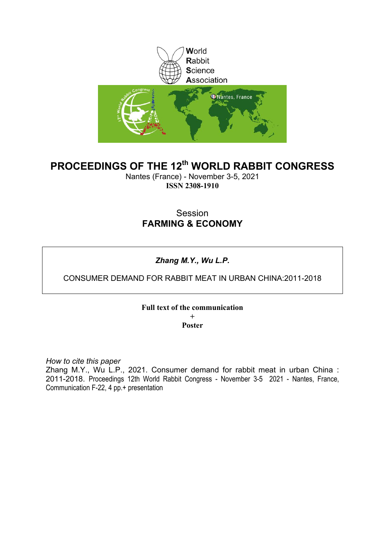

# **PROCEEDINGS OF THE 12th WORLD RABBIT CONGRESS**

Nantes (France) - November 3-5, 2021 **ISSN 2308-1910**

# Session **FARMING & ECONOMY**

# *Zhang M.Y., Wu L.P.*

## CONSUMER DEMAND FOR RABBIT MEAT IN URBAN CHINA:2011-2018

## **Full text of the communication + Poster**

*How to cite this paper*

Zhang M.Y., Wu L.P., 2021. Consumer demand for rabbit meat in urban China : 2011-2018. Proceedings 12th World Rabbit Congress - November 3-5 2021 - Nantes, France, Communication F-22, 4 pp.+ presentation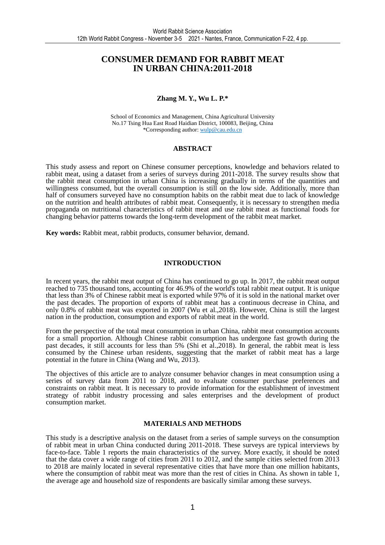## **CONSUMER DEMAND FOR RABBIT MEAT IN URBAN CHINA:2011-2018**

### **Zhang M. Y., Wu L. P.\***

School of Economics and Management, China Agricultural University No.17 Tsing Hua East Road Haidian District, 100083, Beijing, China \*Corresponding author: wulp@cau.edu.cn

#### **ABSTRACT**

This study assess and report on Chinese consumer perceptions, knowledge and behaviors related to rabbit meat, using a dataset from a series of surveys during 2011-2018. The survey results show that the rabbit meat consumption in urban China is increasing gradually in terms of the quantities and willingness consumed, but the overall consumption is still on the low side. Additionally, more than half of consumers surveyed have no consumption habits on the rabbit meat due to lack of knowledge on the nutrition and health attributes of rabbit meat. Consequently, it is necessary to strengthen media propaganda on nutritional characteristics of rabbit meat and use rabbit meat as functional foods for changing behavior patterns towards the long-term development of the rabbit meat market.

**Key words:** Rabbit meat, rabbit products, consumer behavior, demand.

#### **INTRODUCTION**

In recent years, the rabbit meat output of China has continued to go up. In 2017, the rabbit meat output reached to 735 thousand tons, accounting for 46.9% of the world's total rabbit meat output. It is unique that less than 3% of Chinese rabbit meat is exported while 97% of it is sold in the national market over the past decades. The proportion of exports of rabbit meat has a continuous decrease in China, and only 0.8% of rabbit meat was exported in 2007 (Wu et al.,2018). However, China is still the largest nation in the production, consumption and exports of rabbit meat in the world.

From the perspective of the total meat consumption in urban China, rabbit meat consumption accounts for a small proportion. Although Chinese rabbit consumption has undergone fast growth during the past decades, it still accounts for less than 5% (Shi et al.,2018). In general, the rabbit meat is less consumed by the Chinese urban residents, suggesting that the market of rabbit meat has a large potential in the future in China (Wang and Wu, 2013).

The objectives of this article are to analyze consumer behavior changes in meat consumption using a series of survey data from 2011 to 2018, and to evaluate consumer purchase preferences and constraints on rabbit meat. It is necessary to provide information for the establishment of investment strategy of rabbit industry processing and sales enterprises and the development of product consumption market.

#### **MATERIALS AND METHODS**

This study is a descriptive analysis on the dataset from a series of sample surveys on the consumption of rabbit meat in urban China conducted during 2011-2018. These surveys are typical interviews by face-to-face. Table 1 reports the main characteristics of the survey. More exactly, it should be noted that the data cover a wide range of cities from 2011 to 2012, and the sample cities selected from 2013 to 2018 are mainly located in several representative cities that have more than one million habitants, where the consumption of rabbit meat was more than the rest of cities in China. As shown in table 1, the average age and household size of respondents are basically similar among these surveys.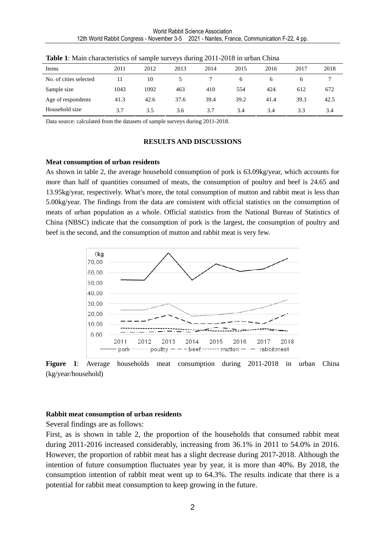| Items                  | 2011 | 2012 | 2013 | 2014 | 2015 | 2016         | 2017 | 2018 |
|------------------------|------|------|------|------|------|--------------|------|------|
| No. of cities selected | 11   | 10   |      |      | 6    | <sub>0</sub> | h    |      |
| Sample size            | 1043 | 1092 | 463  | 410  | 554  | 424          | 612  | 672  |
| Age of respondents     | 41.3 | 42.6 | 37.6 | 39.4 | 39.2 | 41.4         | 39.3 | 42.5 |
| Household size         | 3.7  | 3.5  | 3.6  | 3.7  | 3.4  | 3.4          | 3.3  | 3.4  |

**Table 1**: Main characteristics of sample surveys during 2011-2018 in urban China

Data source: calculated from the datasets of sample surveys during 2011-2018.

#### **RESULTS AND DISCUSSIONS**

#### **Meat consumption of urban residents**

As shown in table 2, the average household consumption of pork is 63.09kg/year, which accounts for more than half of quantities consumed of meats, the consumption of poultry and beef is 24.65 and 13.95kg/year, respectively. What's more, the total consumption of mutton and rabbit meat is less than 5.00kg/year. The findings from the data are consistent with official statistics on the consumption of meats of urban population as a whole. Official statistics from the National Bureau of Statistics of China (NBSC) indicate that the consumption of pork is the largest, the consumption of poultry and beef is the second, and the consumption of mutton and rabbit meat is very few.



**Figure 1**: Average households meat consumption during 2011-2018 in urban China (kg/year/household)

### **Rabbit meat consumption of urban residents**

Several findings are as follows:

First, as is shown in table 2, the proportion of the households that consumed rabbit meat during 2011-2016 increased considerably, increasing from 36.1% in 2011 to 54.0% in 2016. However, the proportion of rabbit meat has a slight decrease during 2017-2018. Although the intention of future consumption fluctuates year by year, it is more than 40%. By 2018, the consumption intention of rabbit meat went up to 64.3%. The results indicate that there is a potential for rabbit meat consumption to keep growing in the future.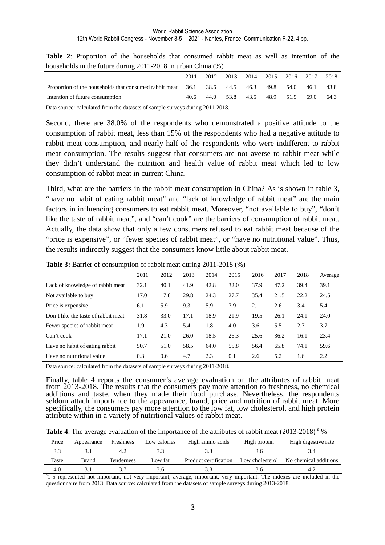| $10000010100$ in the ruture during 2011 2010 in the call China (70) |      |      |      |      |      |      |      |      |
|---------------------------------------------------------------------|------|------|------|------|------|------|------|------|
|                                                                     | 2011 | 2012 | 2013 | 2014 | 2015 | 2016 | 2017 | 2018 |
| Proportion of the households that consumed rabbit meat              | 36.1 | 38.6 | 44.5 | 46.3 | 49.8 | 54.0 | 46.1 | 43.8 |
| Intention of future consumption                                     | 40.6 | 44.0 | 53.8 | 43.5 | 48.9 | 51.9 | 69.0 | 64.3 |

**Table 2**: Proportion of the households that consumed rabbit meat as well as intention of the households in the future during 2011-2018 in urban China (%)

Data source: calculated from the datasets of sample surveys during 2011-2018.

Second, there are 38.0% of the respondents who demonstrated a positive attitude to the consumption of rabbit meat, less than 15% of the respondents who had a negative attitude to rabbit meat consumption, and nearly half of the respondents who were indifferent to rabbit meat consumption. The results suggest that consumers are not averse to rabbit meat while they didn't understand the nutrition and health value of rabbit meat which led to low consumption of rabbit meat in current China.

Third, what are the barriers in the rabbit meat consumption in China? As is shown in table 3, "have no habit of eating rabbit meat" and "lack of knowledge of rabbit meat" are the main factors in influencing consumers to eat rabbit meat. Moreover, "not available to buy", "don't like the taste of rabbit meat", and "can't cook" are the barriers of consumption of rabbit meat. Actually, the data show that only a few consumers refused to eat rabbit meat because of the "price is expensive", or "fewer species of rabbit meat", or "have no nutritional value". Thus, the results indirectly suggest that the consumers know little about rabbit meat.

|                                     | 2011 | 2012 | 2013 | 2014 | 2015 | 2016 | 2017 | 2018 | Average |
|-------------------------------------|------|------|------|------|------|------|------|------|---------|
| Lack of knowledge of rabbit meat    | 32.1 | 40.1 | 41.9 | 42.8 | 32.0 | 37.9 | 47.2 | 39.4 | 39.1    |
| Not available to buy                | 17.0 | 17.8 | 29.8 | 24.3 | 27.7 | 35.4 | 21.5 | 22.2 | 24.5    |
| Price is expensive.                 | 6.1  | 5.9  | 9.3  | 5.9  | 7.9  | 2.1  | 2.6  | 3.4  | 5.4     |
| Don't like the taste of rabbit meat | 31.8 | 33.0 | 17.1 | 18.9 | 21.9 | 19.5 | 26.1 | 24.1 | 24.0    |
| Fewer species of rabbit meat        | 1.9  | 4.3  | 5.4  | 1.8  | 4.0  | 3.6  | 5.5  | 2.7  | 3.7     |
| Can't cook                          | 17.1 | 21.0 | 26.0 | 18.5 | 26.3 | 25.6 | 36.2 | 16.1 | 23.4    |
| Have no habit of eating rabbit      | 50.7 | 51.0 | 58.5 | 64.0 | 55.8 | 56.4 | 65.8 | 74.1 | 59.6    |
| Have no nutritional value           | 0.3  | 0.6  | 4.7  | 2.3  | 0.1  | 2.6  | 5.2  | 1.6  | 2.2     |

**Table 3:** Barrier of consumption of rabbit meat during 2011-2018 (%)

Data source: calculated from the datasets of sample surveys during 2011-2018.

Finally, table 4 reports the consumer's average evaluation on the attributes of rabbit meat from 2013-2018. The results that the consumers pay more attention to freshness, no chemical additions and taste, when they made their food purchase. Nevertheless, the respondents seldom attach importance to the appearance, brand, price and nutrition of rabbit meat. More specifically, the consumers pay more attention to the low fat, low cholesterol, and high protein attribute within in a variety of nutritional values of rabbit meat.

Table 4: The average evaluation of the importance of the attributes of rabbit meat (2013-2018)<sup>a</sup> %

| Price | Appearance | Freshness  | Low calories | High amino acids      | High protein    | High digestive rate   |
|-------|------------|------------|--------------|-----------------------|-----------------|-----------------------|
|       |            |            |              |                       |                 |                       |
| Taste | Brand      | Tenderness | Low fat      | Product certification | Low cholesterol | No chemical additions |
| 4.0   |            |            | ኝ ስ          |                       |                 |                       |

<sup>a</sup>1-5 represented not important, not very important, average, important, very important. The indexes are included in the questionnaire from 2013. Data source: calculated from the datasets of sample surveys during 2013-2018.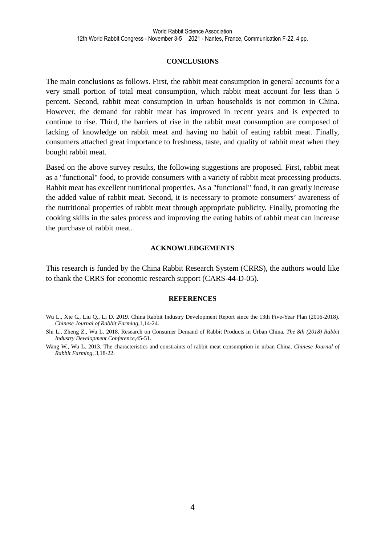#### **CONCLUSIONS**

The main conclusions as follows. First, the rabbit meat consumption in general accounts for a very small portion of total meat consumption, which rabbit meat account for less than 5 percent. Second, rabbit meat consumption in urban households is not common in China. However, the demand for rabbit meat has improved in recent years and is expected to continue to rise. Third, the barriers of rise in the rabbit meat consumption are composed of lacking of knowledge on rabbit meat and having no habit of eating rabbit meat. Finally, consumers attached great importance to freshness, taste, and quality of rabbit meat when they bought rabbit meat.

Based on the above survey results, the following suggestions are proposed. First, rabbit meat as a "functional" food, to provide consumers with a variety of rabbit meat processing products. Rabbit meat has excellent nutritional properties. As a "functional" food, it can greatly increase the added value of rabbit meat. Second, it is necessary to promote consumers' awareness of the nutritional properties of rabbit meat through appropriate publicity. Finally, promoting the cooking skills in the sales process and improving the eating habits of rabbit meat can increase the purchase of rabbit meat.

#### **ACKNOWLEDGEMENTS**

This research is funded by the China Rabbit Research System (CRRS), the authors would like to thank the CRRS for economic research support (CARS-44-D-05).

#### **REFERENCES**

Shi L., Zheng Z., Wu L. 2018. Research on Consumer Demand of Rabbit Products in Urban China. *The 8th (2018) Rabbit Industry Development Conference*,45-51.

Wang W., Wu L. 2013. The characteristics and constraints of rabbit meat consumption in urban China. *Chinese Journal of Rabbit Farming*, 3,18-22.

Wu L., Xie G., Liu Q., Li D. 2019. China Rabbit Industry Development Report since the 13th Five-Year Plan (2016-2018). *Chinese Journal of Rabbit Farming*,1,14-24.